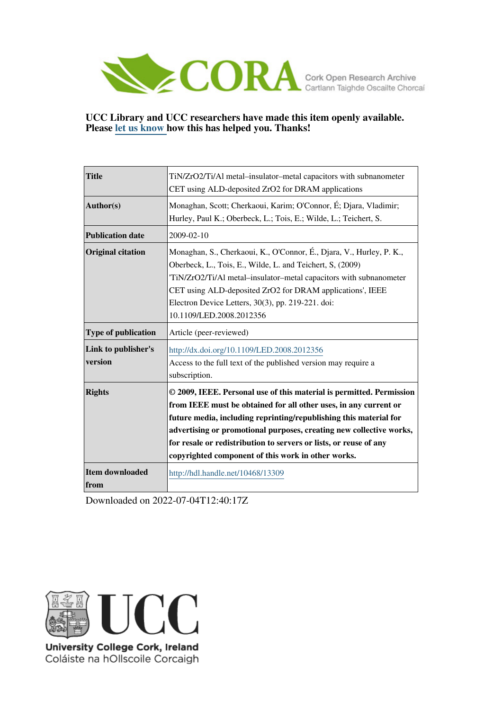

# **UCC Library and UCC researchers have made this item openly available. Please [let us know h](https://libguides.ucc.ie/openaccess/impact?suffix=13309&title=TiN/ZrO2/Ti/Al metal�insulator�metal capacitors with subnanometer CET using ALD-deposited ZrO2 for DRAM applications)ow this has helped you. Thanks!**

| <b>Title</b>                   | TiN/ZrO2/Ti/Al metal-insulator-metal capacitors with subnanometer<br>CET using ALD-deposited ZrO2 for DRAM applications                                                                                                                                                                                                                                                                                         |
|--------------------------------|-----------------------------------------------------------------------------------------------------------------------------------------------------------------------------------------------------------------------------------------------------------------------------------------------------------------------------------------------------------------------------------------------------------------|
| Author(s)                      | Monaghan, Scott; Cherkaoui, Karim; O'Connor, É; Djara, Vladimir;<br>Hurley, Paul K.; Oberbeck, L.; Tois, E.; Wilde, L.; Teichert, S.                                                                                                                                                                                                                                                                            |
| <b>Publication date</b>        | 2009-02-10                                                                                                                                                                                                                                                                                                                                                                                                      |
| <b>Original citation</b>       | Monaghan, S., Cherkaoui, K., O'Connor, É., Djara, V., Hurley, P. K.,<br>Oberbeck, L., Tois, E., Wilde, L. and Teichert, S, (2009)<br>'TiN/ZrO2/Ti/Al metal-insulator-metal capacitors with subnanometer<br>CET using ALD-deposited ZrO2 for DRAM applications', IEEE<br>Electron Device Letters, 30(3), pp. 219-221. doi:<br>10.1109/LED.2008.2012356                                                           |
| <b>Type of publication</b>     | Article (peer-reviewed)                                                                                                                                                                                                                                                                                                                                                                                         |
| Link to publisher's<br>version | http://dx.doi.org/10.1109/LED.2008.2012356<br>Access to the full text of the published version may require a<br>subscription.                                                                                                                                                                                                                                                                                   |
| <b>Rights</b>                  | © 2009, IEEE. Personal use of this material is permitted. Permission<br>from IEEE must be obtained for all other uses, in any current or<br>future media, including reprinting/republishing this material for<br>advertising or promotional purposes, creating new collective works,<br>for resale or redistribution to servers or lists, or reuse of any<br>copyrighted component of this work in other works. |
| Item downloaded<br>from        | http://hdl.handle.net/10468/13309                                                                                                                                                                                                                                                                                                                                                                               |

Downloaded on 2022-07-04T12:40:17Z



University College Cork, Ireland Coláiste na hOllscoile Corcaigh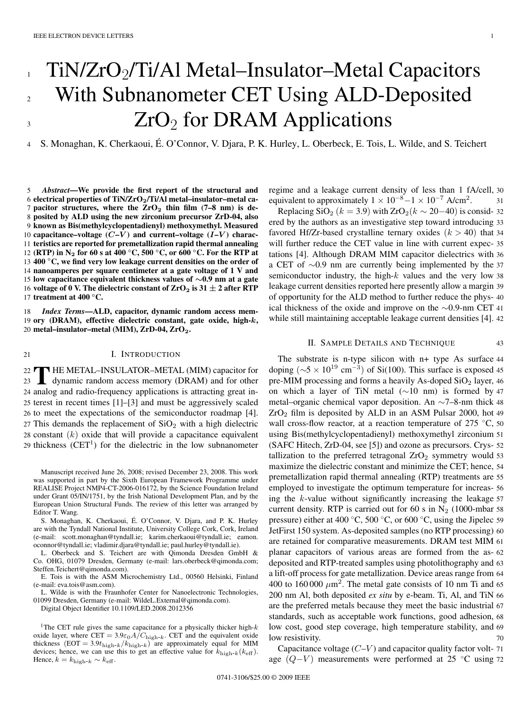# TiN/ZrO<sub>2</sub>/Ti/Al Metal–Insulator–Metal Capacitors With Subnanometer CET Using ALD-Deposited  $ZrO<sub>2</sub>$  for DRAM Applications 1 2 3

4 S. Monaghan, K. Cherkaoui, É. O'Connor, V. Djara, P. K. Hurley, L. Oberbeck, E. Tois, L. Wilde, and S. Teichert

 *Abstract***—We provide the first report of the structural and electrical properties of TiN/ZrO2/Ti/Al metal–insulator–metal ca- pacitor structures, where the ZrO<sup>2</sup> thin film (7–8 nm) is de- posited by ALD using the new zirconium precursor ZrD-04, also known as Bis(methylcyclopentadienyl) methoxymethyl. Measured capacitance–voltage**  $(C - V)$  and **current–voltage**  $(I - V)$  **charac- teristics are reported for premetallization rapid thermal annealing (RTP) in N<sup>2</sup> for 60 s at 400** *◦***C, 500** *◦***C, or 600** *◦* 12 **C. For the RTP at** *◦* 13 **C, we find very low leakage current densities on the order of nanoamperes per square centimeter at a gate voltage of 1 V and low capacitance equivalent thickness values of** *∼***0.9 nm at a gate voltage of 0 V. The dielectric constant of**  $ZrO<sub>2</sub>$  **is 31**  $\pm$  **2 after RTP treatment at 400 °C.** 

18 *Index Terms***—ALD, capacitor, dynamic random access mem-**19 **ory (DRAM), effective dielectric constant, gate oxide, high-***k***,** 20 **metal–insulator–metal (MIM), ZrD-04, ZrO2.**

## 21 **I. INTRODUCTION**

22 THE METAL-INSULATOR-METAL (MIM) capacitor for<br>23 dynamic random access memory (DRAM) and for other 22 HE METAL-INSULATOR-METAL (MIM) capacitor for 24 analog and radio-frequency applications is attracting great in-25 terest in recent times [1]–[3] and must be aggressively scaled 26 to meet the expectations of the semiconductor roadmap [4]. 27 This demands the replacement of  $SiO<sub>2</sub>$  with a high dielectric 28 constant  $(k)$  oxide that will provide a capacitance equivalent 29 thickness  $(CET<sup>1</sup>)$  for the dielectric in the low subnanometer

Manuscript received June 26, 2008; revised December 23, 2008. This work was supported in part by the Sixth European Framework Programme under REALISE Project NMP4-CT-2006-016172, by the Science Foundation Ireland under Grant 05/IN/1751, by the Irish National Development Plan, and by the European Union Structural Funds. The review of this letter was arranged by Editor T. Wang.

S. Monaghan, K. Cherkaoui, É. O'Connor, V. Djara, and P. K. Hurley are with the Tyndall National Institute, University College Cork, Cork, Ireland (e-mail: scott.monaghan@tyndall.ie; karim.cherkaoui@tyndall.ie; eamon. oconnor@tyndall.ie; vladimir.djara@tyndall.ie; paul.hurley@tyndall.ie).

L. Oberbeck and S. Teichert are with Qimonda Dresden GmbH & Co. OHG, 01079 Dresden, Germany (e-mail: lars.oberbeck@qimonda.com; Steffen.Teichert@qimonda.com).

E. Tois is with the ASM Microchemistry Ltd., 00560 Helsinki, Finland (e-mail: eva.tois@asm.com).

L. Wilde is with the Fraunhofer Center for Nanoelectronic Technologies, 01099 Dresden, Germany (e-mail: WildeL.External@qimonda.com).

Digital Object Identifier 10.1109/LED.2008.2012356

<sup>1</sup>The CET rule gives the same capacitance for a physically thicker high- $k$ oxide layer, where  $CET = 3.9\varepsilon_0 A/C_{\text{high-}k}$ . CET and the equivalent oxide thickness  $($  EOT = 3.9 $t_{\text{high-}k}/k_{\text{high-}k}$ ) are approximately equal for MIM devices; hence, we can use this to get an effective value for  $k_{\text{high-}k}(k_{\text{eff}})$ . Hence,  $k = k_{\text{high-}k} \sim k_{\text{eff}}$ .

regime and a leakage current density of less than 1 fA/cell, 30 equivalent to approximately  $1 \times 10^{-8} - 1 \times 10^{-7}$  A/cm<sup>2</sup>.

Replacing SiO<sub>2</sub> ( $k = 3.9$ ) with ZrO<sub>2</sub>( $k \sim 20-40$ ) is consid- 32 ered by the authors as an investigative step toward introducing 33 favored Hf/Zr-based crystalline ternary oxides  $(k > 40)$  that 34 will further reduce the CET value in line with current expec- 35 tations [4]. Although DRAM MIM capacitor dielectrics with 36 a CET of ∼0.9 nm are currently being implemented by the <sup>37</sup> semiconductor industry, the high- $k$  values and the very low 38 leakage current densities reported here presently allow a margin 39 of opportunity for the ALD method to further reduce the phys- 40 ical thickness of the oxide and improve on the ∼0.9-nm CET <sup>41</sup> while still maintaining acceptable leakage current densities [4]. 42

### II. SAMPLE DETAILS AND TECHNIQUE 43

The substrate is n-type silicon with n+ type As surface 44 doping ( $\sim$ 5 × 10<sup>19</sup> cm<sup>-3</sup>) of Si(100). This surface is exposed 45 pre-MIM processing and forms a heavily As-doped  $SiO<sub>2</sub>$  layer, 46 on which a layer of TiN metal (∼10 nm) is formed by <sup>47</sup> metal–organic chemical vapor deposition. An ∼7–8-nm thick <sup>48</sup>  $ZrO<sub>2</sub>$  film is deposited by ALD in an ASM Pulsar 2000, hot 49 wall cross-flow reactor, at a reaction temperature of 275  $°C$ , 50 using Bis(methylcyclopentadienyl) methoxymethyl zirconium 51 (SAFC Hitech, ZrD-04, see [5]) and ozone as precursors. Crys- 52 tallization to the preferred tetragonal  $ZrO<sub>2</sub>$  symmetry would 53 maximize the dielectric constant and minimize the CET; hence, 54 premetallization rapid thermal annealing (RTP) treatments are 55 employed to investigate the optimum temperature for increas- 56 ing the  $k$ -value without significantly increasing the leakage  $57$ current density. RTP is carried out for 60 s in  $N_2$  (1000-mbar 58) pressure) either at 400 °C, 500 °C, or 600 °C, using the Jipelec 59 JetFirst 150 system. As-deposited samples (no RTP processing) 60 are retained for comparative measurements. DRAM test MIM 61 planar capacitors of various areas are formed from the as- 62 deposited and RTP-treated samples using photolithography and 63 a lift-off process for gate metallization. Device areas range from 64 400 to 160 000  $\mu$ m<sup>2</sup>. The metal gate consists of 10 nm Ti and 65 200 nm Al, both deposited *ex situ* by e-beam. Ti, Al, and TiN 66 are the preferred metals because they meet the basic industrial 67 standards, such as acceptable work functions, good adhesion, 68 low cost, good step coverage, high temperature stability, and 69 low resistivity.

Capacitance voltage  $(C-V)$  and capacitor quality factor volt- 71 age  $(Q-V)$  measurements were performed at 25 °C using 72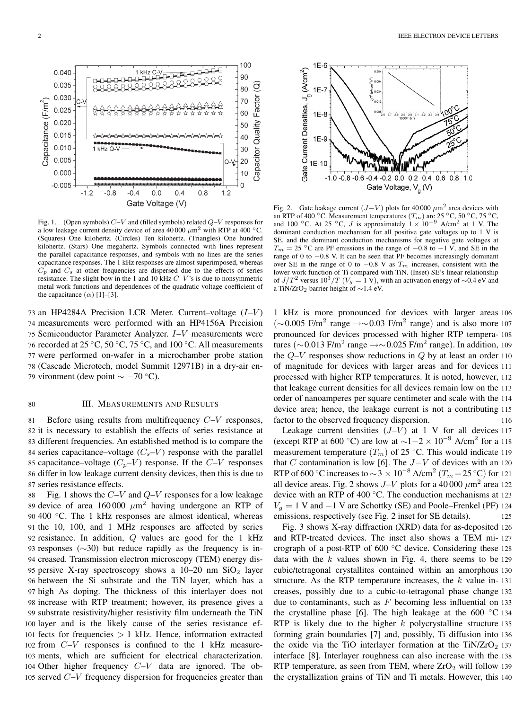Capacitance (F/m<sup>2</sup>)

 $0.040$ 

0.035

0.030

 $0.025$ 

 $0.020$ 

0.015

0.010

0.005

 $0.000$ 

 $-0.005$ 

 $-1.2$ 

1 kHz Q-V

 $-0.8$ 

 $-0.4$ 



 $0.0$ 

Gate Voltage (V)

 $0.4$ 

 $0.8$ 

1 kHz C-V

100

90

70

60

50

40

30

20  $Q-Y$ -

 $10$ 

 $\Omega$ 

 $1.2$ 

g 80

Capacitor Quality Factor

73 an HP4284A Precision LCR Meter. Current–voltage  $(I-V)$ 74 measurements were performed with an HP4156A Precision 75 Semiconductor Parameter Analyzer. I–V measurements were 76 recorded at 25 °C, 50 °C, 75 °C, and 100 °C. All measurements 77 were performed on-wafer in a microchamber probe station 78 (Cascade Microtech, model Summit 12971B) in a dry-air en-79 vironment (dew point  $\sim -70$  °C).

#### 80 **III. MEASUREMENTS AND RESULTS**

81 Before using results from multifrequency  $C-V$  responses, 82 it is necessary to establish the effects of series resistance at 83 different frequencies. An established method is to compare the 84 series capacitance–voltage  $(C_s-V)$  response with the parallel 85 capacitance–voltage  $(C_p - V)$  response. If the  $C-V$  responses 86 differ in low leakage current density devices, then this is due to 87 series resistance effects.

88 Fig. 1 shows the  $C-V$  and  $Q-V$  responses for a low leakage 89 device of area 160 000  $\mu$ m<sup>2</sup> having undergone an RTP of 90 400  $°C$ . The 1 kHz responses are almost identical, whereas the 10, 100, and 1 MHz responses are affected by series 92 resistance. In addition,  $Q$  values are good for the 1 kHz 93 responses ( $\sim$ 30) but reduce rapidly as the frequency is in- creased. Transmission electron microscopy (TEM) energy dis-95 persive X-ray spectroscopy shows a  $10-20$  nm  $SiO<sub>2</sub>$  layer between the Si substrate and the TiN layer, which has a high As doping. The thickness of this interlayer does not increase with RTP treatment; however, its presence gives a substrate resistivity/higher resistivity film underneath the TiN layer and is the likely cause of the series resistance ef- fects for frequencies > 1 kHz. Hence, information extracted from C–V responses is confined to the 1 kHz measure- ments, which are sufficient for electrical characterization. Other higher frequency C–V data are ignored. The ob-served C–V frequency dispersion for frequencies greater than



Fig. 2. Gate leakage current  $(J-V)$  plots for 40 000  $\mu$ m<sup>2</sup> area devices with an RTP of 400 °C. Measurement temperatures  $(T_m)$  are 25 °C, 50 °C, 75 °C, and 100 °C. At 25 °C, J is approximately  $1 \times 10^{-9}$  A/cm<sup>2</sup> at 1 V. The dominant conduction mechanism for all positive gate voltages up to 1 V is SE, and the dominant conduction mechanisms for negative gate voltages at  $T_m = 25$  °C are PF emissions in the range of  $-0.8$  to  $-1$  V, and SE in the range of 0 to −0.8 V. It can be seen that PF becomes increasingly dominant over SE in the range of 0 to  $-0.8$  V as  $T_m$  increases, consistent with the lower work function of Ti compared with TiN. (Inset) SE's linear relationship of  $J/T^2$  versus  $10^3/T$  ( $V_g = 1$  V), with an activation energy of ∼0.4 eV and a TiN/ZrO<sup>2</sup> barrier height of ∼1.4 eV.

1 kHz is more pronounced for devices with larger areas 106  $(\sim 0.005$  F/m<sup>2</sup> range → $\sim 0.03$  F/m<sup>2</sup> range) and is also more 107 pronounced for devices processed with higher RTP tempera- 108 tures (∼0.013 F/m<sup>2</sup> range →∼0.025 F/m<sup>2</sup> range). In addition, 109 the  $Q-V$  responses show reductions in  $Q$  by at least an order 110 of magnitude for devices with larger areas and for devices 111 processed with higher RTP temperatures. It is noted, however, 112 that leakage current densities for all devices remain low on the 113 order of nanoamperes per square centimeter and scale with the 114 device area; hence, the leakage current is not a contributing 115 factor to the observed frequency dispersion. 116

Leakage current densities  $(J-V)$  at 1 V for all devices 117 (except RTP at 600 °C) are low at  $\sim$ 1-2 × 10<sup>-9</sup> A/cm<sup>2</sup> for a 118 measurement temperature  $(T_m)$  of 25 °C. This would indicate 119 that C contamination is low [6]. The  $J-V$  of devices with an 120 RTP of 600 °C increases to  $\sim$  3 × 10<sup>-8</sup> A/cm<sup>2</sup> ( $T_m$  = 25 °C) for 121 all device areas. Fig. 2 shows  $J-V$  plots for a 40 000  $\mu$ m<sup>2</sup> area 122 device with an RTP of 400 ◦C. The conduction mechanisms at 123  $V_g = 1$  V and  $-1$  V are Schottky (SE) and Poole–Frenkel (PF) 124<br>emissions respectively (see Fig. 2 inset for SE details) 125 emissions, respectively (see Fig. 2 inset for SE details).

Fig. 3 shows X-ray diffraction (XRD) data for as-deposited 126 and RTP-treated devices. The inset also shows a TEM mi- 127 crograph of a post-RTP of 600 ◦C device. Considering these 128 data with the  $k$  values shown in Fig. 4, there seems to be 129 cubic/tetragonal crystallites contained within an amorphous 130 structure. As the RTP temperature increases, the  $k$  value in- 131 creases, possibly due to a cubic-to-tetragonal phase change 132 due to contaminants, such as  $F$  becoming less influential on 133 the crystalline phase [6]. The high leakage at the 600  $\degree$ C 134 RTP is likely due to the higher  $k$  polycrystalline structure 135 forming grain boundaries [7] and, possibly, Ti diffusion into 136 the oxide via the TiO interlayer formation at the TiN/ $ZrO<sub>2</sub>$  137 interface [8]. Interlayer roughness can also increase with the 138 RTP temperature, as seen from TEM, where  $ZrO<sub>2</sub>$  will follow 139 the crystallization grains of TiN and Ti metals. However, this 140